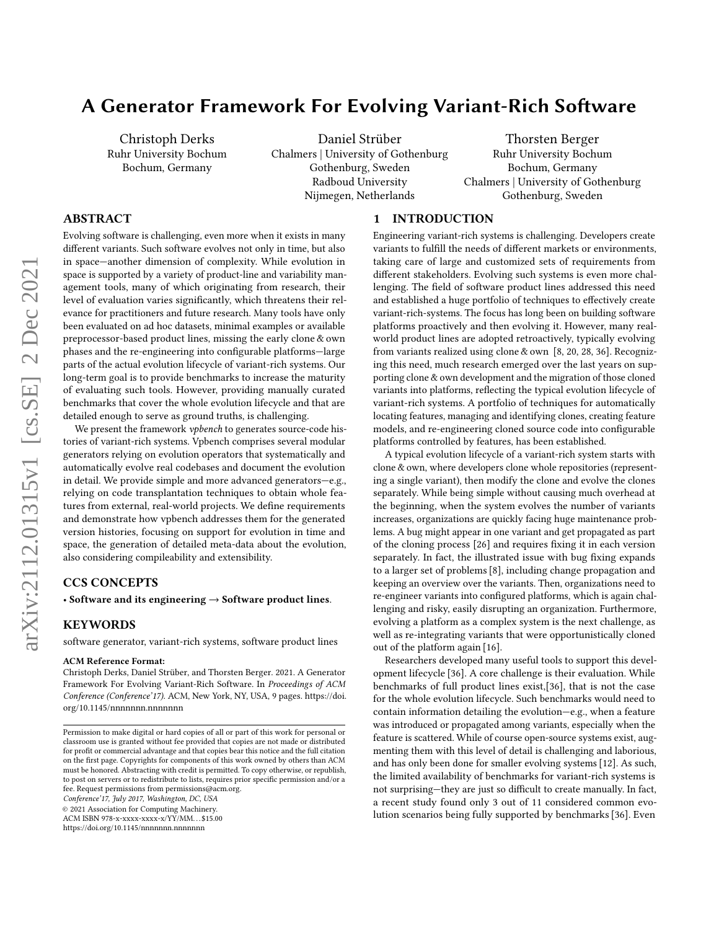# A Generator Framework For Evolving Variant-Rich Software

Christoph Derks Ruhr University Bochum Bochum, Germany

Daniel Strüber Chalmers | University of Gothenburg Gothenburg, Sweden Radboud University Nijmegen, Netherlands

Thorsten Berger Ruhr University Bochum Bochum, Germany Chalmers | University of Gothenburg Gothenburg, Sweden

# ABSTRACT

Evolving software is challenging, even more when it exists in many different variants. Such software evolves not only in time, but also in space—another dimension of complexity. While evolution in space is supported by a variety of product-line and variability management tools, many of which originating from research, their level of evaluation varies significantly, which threatens their relevance for practitioners and future research. Many tools have only been evaluated on ad hoc datasets, minimal examples or available preprocessor-based product lines, missing the early clone & own phases and the re-engineering into configurable platforms—large parts of the actual evolution lifecycle of variant-rich systems. Our long-term goal is to provide benchmarks to increase the maturity of evaluating such tools. However, providing manually curated benchmarks that cover the whole evolution lifecycle and that are detailed enough to serve as ground truths, is challenging.

We present the framework *vpbench* to generates source-code histories of variant-rich systems. Vpbench comprises several modular generators relying on evolution operators that systematically and automatically evolve real codebases and document the evolution in detail. We provide simple and more advanced generators—e.g., relying on code transplantation techniques to obtain whole features from external, real-world projects. We define requirements and demonstrate how vpbench addresses them for the generated version histories, focusing on support for evolution in time and space, the generation of detailed meta-data about the evolution, also considering compileability and extensibility.

# CCS CONCEPTS

• Software and its engineering  $\rightarrow$  Software product lines.

## KEYWORDS

software generator, variant-rich systems, software product lines

#### ACM Reference Format:

Christoph Derks, Daniel Strüber, and Thorsten Berger. 2021. A Generator Framework For Evolving Variant-Rich Software. In Proceedings of ACM Conference (Conference'17). ACM, New York, NY, USA, [9](#page-8-0) pages. [https://doi.](https://doi.org/10.1145/nnnnnnn.nnnnnnn) [org/10.1145/nnnnnnn.nnnnnnn](https://doi.org/10.1145/nnnnnnn.nnnnnnn)

Conference'17, July 2017, Washington, DC, USA

© 2021 Association for Computing Machinery.

ACM ISBN 978-x-xxxx-xxxx-x/YY/MM. . . \$15.00

<https://doi.org/10.1145/nnnnnnn.nnnnnnn>

## 1 INTRODUCTION

Engineering variant-rich systems is challenging. Developers create variants to fulfill the needs of different markets or environments, taking care of large and customized sets of requirements from different stakeholders. Evolving such systems is even more challenging. The field of software product lines addressed this need and established a huge portfolio of techniques to effectively create variant-rich-systems. The focus has long been on building software platforms proactively and then evolving it. However, many realworld product lines are adopted retroactively, typically evolving from variants realized using clone & own [\[8,](#page-8-1) [20,](#page-8-2) [28,](#page-8-3) [36\]](#page-8-4). Recognizing this need, much research emerged over the last years on supporting clone & own development and the migration of those cloned variants into platforms, reflecting the typical evolution lifecycle of variant-rich systems. A portfolio of techniques for automatically locating features, managing and identifying clones, creating feature models, and re-engineering cloned source code into configurable platforms controlled by features, has been established.

A typical evolution lifecycle of a variant-rich system starts with clone & own, where developers clone whole repositories (representing a single variant), then modify the clone and evolve the clones separately. While being simple without causing much overhead at the beginning, when the system evolves the number of variants increases, organizations are quickly facing huge maintenance problems. A bug might appear in one variant and get propagated as part of the cloning process [\[26\]](#page-8-5) and requires fixing it in each version separately. In fact, the illustrated issue with bug fixing expands to a larger set of problems [\[8\]](#page-8-1), including change propagation and keeping an overview over the variants. Then, organizations need to re-engineer variants into configured platforms, which is again challenging and risky, easily disrupting an organization. Furthermore, evolving a platform as a complex system is the next challenge, as well as re-integrating variants that were opportunistically cloned out of the platform again [\[16\]](#page-8-6).

Researchers developed many useful tools to support this development lifecycle [\[36\]](#page-8-4). A core challenge is their evaluation. While benchmarks of full product lines exist,[\[36\]](#page-8-4), that is not the case for the whole evolution lifecycle. Such benchmarks would need to contain information detailing the evolution—e.g., when a feature was introduced or propagated among variants, especially when the feature is scattered. While of course open-source systems exist, augmenting them with this level of detail is challenging and laborious, and has only been done for smaller evolving systems [\[12\]](#page-8-7). As such, the limited availability of benchmarks for variant-rich systems is not surprising—they are just so difficult to create manually. In fact, a recent study found only 3 out of 11 considered common evolution scenarios being fully supported by benchmarks [\[36\]](#page-8-4). Even

Permission to make digital or hard copies of all or part of this work for personal or classroom use is granted without fee provided that copies are not made or distributed for profit or commercial advantage and that copies bear this notice and the full citation on the first page. Copyrights for components of this work owned by others than ACM must be honored. Abstracting with credit is permitted. To copy otherwise, or republish, to post on servers or to redistribute to lists, requires prior specific permission and/or a fee. Request permissions from permissions@acm.org.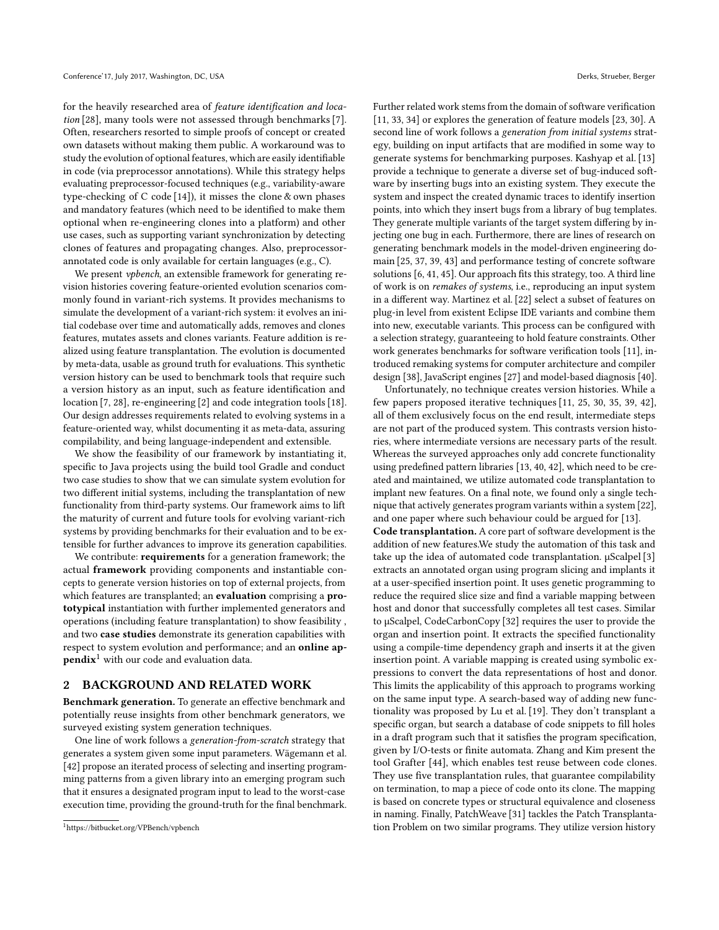for the heavily researched area of feature identification and location [\[28\]](#page-8-3), many tools were not assessed through benchmarks [\[7\]](#page-8-8). Often, researchers resorted to simple proofs of concept or created own datasets without making them public. A workaround was to study the evolution of optional features, which are easily identifiable in code (via preprocessor annotations). While this strategy helps evaluating preprocessor-focused techniques (e.g., variability-aware type-checking of C code [\[14\]](#page-8-9)), it misses the clone & own phases and mandatory features (which need to be identified to make them optional when re-engineering clones into a platform) and other use cases, such as supporting variant synchronization by detecting clones of features and propagating changes. Also, preprocessorannotated code is only available for certain languages (e.g., C).

We present vpbench, an extensible framework for generating revision histories covering feature-oriented evolution scenarios commonly found in variant-rich systems. It provides mechanisms to simulate the development of a variant-rich system: it evolves an initial codebase over time and automatically adds, removes and clones features, mutates assets and clones variants. Feature addition is realized using feature transplantation. The evolution is documented by meta-data, usable as ground truth for evaluations. This synthetic version history can be used to benchmark tools that require such a version history as an input, such as feature identification and location [\[7,](#page-8-8) [28\]](#page-8-3), re-engineering [\[2\]](#page-8-10) and code integration tools [\[18\]](#page-8-11). Our design addresses requirements related to evolving systems in a feature-oriented way, whilst documenting it as meta-data, assuring compilability, and being language-independent and extensible.

We show the feasibility of our framework by instantiating it, specific to Java projects using the build tool Gradle and conduct two case studies to show that we can simulate system evolution for two different initial systems, including the transplantation of new functionality from third-party systems. Our framework aims to lift the maturity of current and future tools for evolving variant-rich systems by providing benchmarks for their evaluation and to be extensible for further advances to improve its generation capabilities.

We contribute: requirements for a generation framework; the actual framework providing components and instantiable concepts to generate version histories on top of external projects, from which features are transplanted; an evaluation comprising a prototypical instantiation with further implemented generators and operations (including feature transplantation) to show feasibility , and two case studies demonstrate its generation capabilities with respect to system evolution and performance; and an online ap- $pendix<sup>1</sup>$  $pendix<sup>1</sup>$  $pendix<sup>1</sup>$  with our code and evaluation data.

## 2 BACKGROUND AND RELATED WORK

Benchmark generation. To generate an effective benchmark and potentially reuse insights from other benchmark generators, we surveyed existing system generation techniques.

One line of work follows a generation-from-scratch strategy that generates a system given some input parameters. Wägemann et al. [\[42\]](#page-8-12) propose an iterated process of selecting and inserting programming patterns from a given library into an emerging program such that it ensures a designated program input to lead to the worst-case execution time, providing the ground-truth for the final benchmark. Further related work stems from the domain of software verification [\[11,](#page-8-13) [33,](#page-8-14) [34\]](#page-8-15) or explores the generation of feature models [\[23,](#page-8-16) [30\]](#page-8-17). A second line of work follows a generation from initial systems strategy, building on input artifacts that are modified in some way to generate systems for benchmarking purposes. Kashyap et al. [\[13\]](#page-8-18) provide a technique to generate a diverse set of bug-induced software by inserting bugs into an existing system. They execute the system and inspect the created dynamic traces to identify insertion points, into which they insert bugs from a library of bug templates. They generate multiple variants of the target system differing by injecting one bug in each. Furthermore, there are lines of research on generating benchmark models in the model-driven engineering domain [\[25,](#page-8-19) [37,](#page-8-20) [39,](#page-8-21) [43\]](#page-8-22) and performance testing of concrete software solutions [\[6,](#page-8-23) [41,](#page-8-24) [45\]](#page-8-25). Our approach fits this strategy, too. A third line of work is on remakes of systems, i.e., reproducing an input system in a different way. Martinez et al. [\[22\]](#page-8-26) select a subset of features on plug-in level from existent Eclipse IDE variants and combine them into new, executable variants. This process can be configured with a selection strategy, guaranteeing to hold feature constraints. Other work generates benchmarks for software verification tools [\[11\]](#page-8-13), introduced remaking systems for computer architecture and compiler design [\[38\]](#page-8-27), JavaScript engines [\[27\]](#page-8-28) and model-based diagnosis [\[40\]](#page-8-29).

Unfortunately, no technique creates version histories. While a few papers proposed iterative techniques [\[11,](#page-8-13) [25,](#page-8-19) [30,](#page-8-17) [35,](#page-8-30) [39,](#page-8-21) [42\]](#page-8-12), all of them exclusively focus on the end result, intermediate steps are not part of the produced system. This contrasts version histories, where intermediate versions are necessary parts of the result. Whereas the surveyed approaches only add concrete functionality using predefined pattern libraries [\[13,](#page-8-18) [40,](#page-8-29) [42\]](#page-8-12), which need to be created and maintained, we utilize automated code transplantation to implant new features. On a final note, we found only a single technique that actively generates program variants within a system [\[22\]](#page-8-26), and one paper where such behaviour could be argued for [\[13\]](#page-8-18).

Code transplantation. A core part of software development is the addition of new features.We study the automation of this task and take up the idea of automated code transplantation. µScalpel [\[3\]](#page-8-31) extracts an annotated organ using program slicing and implants it at a user-specified insertion point. It uses genetic programming to reduce the required slice size and find a variable mapping between host and donor that successfully completes all test cases. Similar to µScalpel, CodeCarbonCopy [\[32\]](#page-8-32) requires the user to provide the organ and insertion point. It extracts the specified functionality using a compile-time dependency graph and inserts it at the given insertion point. A variable mapping is created using symbolic expressions to convert the data representations of host and donor. This limits the applicability of this approach to programs working on the same input type. A search-based way of adding new functionality was proposed by Lu et al. [\[19\]](#page-8-33). They don't transplant a specific organ, but search a database of code snippets to fill holes in a draft program such that it satisfies the program specification, given by I/O-tests or finite automata. Zhang and Kim present the tool Grafter [\[44\]](#page-8-34), which enables test reuse between code clones. They use five transplantation rules, that guarantee compilability on termination, to map a piece of code onto its clone. The mapping is based on concrete types or structural equivalence and closeness in naming. Finally, PatchWeave [\[31\]](#page-8-35) tackles the Patch Transplantation Problem on two similar programs. They utilize version history

<span id="page-1-0"></span><sup>1</sup>https://bitbucket.org/VPBench/vpbench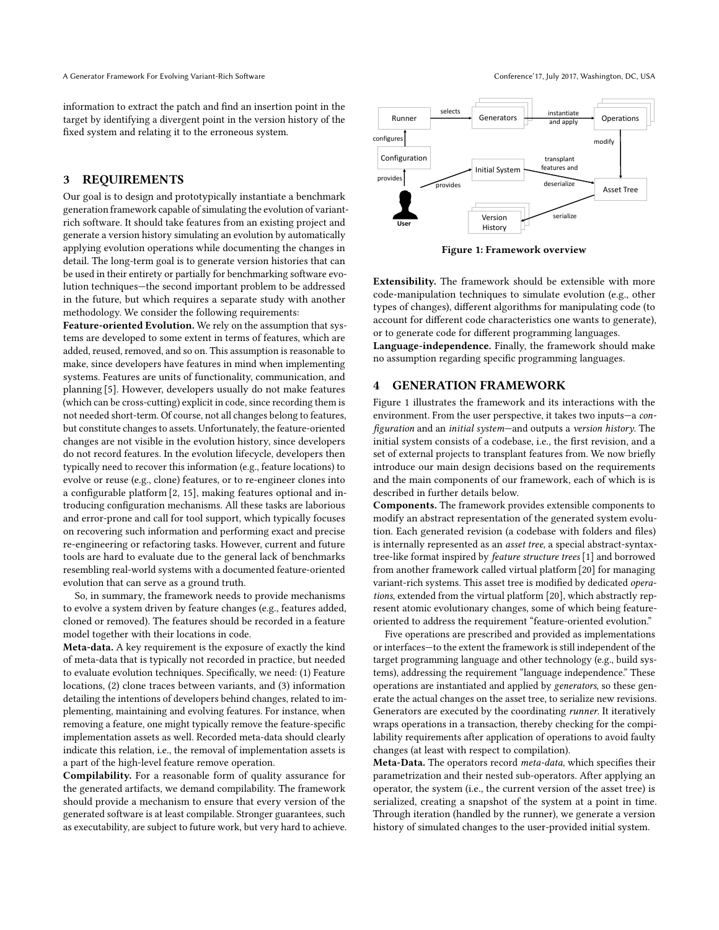information to extract the patch and find an insertion point in the target by identifying a divergent point in the version history of the fixed system and relating it to the erroneous system.

## 3 REQUIREMENTS

Our goal is to design and prototypically instantiate a benchmark generation framework capable of simulating the evolution of variantrich software. It should take features from an existing project and generate a version history simulating an evolution by automatically applying evolution operations while documenting the changes in detail. The long-term goal is to generate version histories that can be used in their entirety or partially for benchmarking software evolution techniques—the second important problem to be addressed in the future, but which requires a separate study with another methodology. We consider the following requirements:

Feature-oriented Evolution. We rely on the assumption that systems are developed to some extent in terms of features, which are added, reused, removed, and so on. This assumption is reasonable to make, since developers have features in mind when implementing systems. Features are units of functionality, communication, and planning [\[5\]](#page-8-36). However, developers usually do not make features (which can be cross-cutting) explicit in code, since recording them is not needed short-term. Of course, not all changes belong to features, but constitute changes to assets. Unfortunately, the feature-oriented changes are not visible in the evolution history, since developers do not record features. In the evolution lifecycle, developers then typically need to recover this information (e.g., feature locations) to evolve or reuse (e.g., clone) features, or to re-engineer clones into a configurable platform [\[2,](#page-8-10) [15\]](#page-8-37), making features optional and introducing configuration mechanisms. All these tasks are laborious and error-prone and call for tool support, which typically focuses on recovering such information and performing exact and precise re-engineering or refactoring tasks. However, current and future tools are hard to evaluate due to the general lack of benchmarks resembling real-world systems with a documented feature-oriented evolution that can serve as a ground truth.

So, in summary, the framework needs to provide mechanisms to evolve a system driven by feature changes (e.g., features added, cloned or removed). The features should be recorded in a feature model together with their locations in code.

Meta-data. A key requirement is the exposure of exactly the kind of meta-data that is typically not recorded in practice, but needed to evaluate evolution techniques. Specifically, we need: (1) Feature locations, (2) clone traces between variants, and (3) information detailing the intentions of developers behind changes, related to implementing, maintaining and evolving features. For instance, when removing a feature, one might typically remove the feature-specific implementation assets as well. Recorded meta-data should clearly indicate this relation, i.e., the removal of implementation assets is a part of the high-level feature remove operation.

Compilability. For a reasonable form of quality assurance for the generated artifacts, we demand compilability. The framework should provide a mechanism to ensure that every version of the generated software is at least compilable. Stronger guarantees, such as executability, are subject to future work, but very hard to achieve.

<span id="page-2-0"></span>

Figure 1: Framework overview

Extensibility. The framework should be extensible with more code-manipulation techniques to simulate evolution (e.g., other types of changes), different algorithms for manipulating code (to account for different code characteristics one wants to generate), or to generate code for different programming languages.

Language-independence. Finally, the framework should make no assumption regarding specific programming languages.

## <span id="page-2-1"></span>4 GENERATION FRAMEWORK

Figure [1](#page-2-0) illustrates the framework and its interactions with the environment. From the user perspective, it takes two inputs—a configuration and an initial system—and outputs a version history. The initial system consists of a codebase, i.e., the first revision, and a set of external projects to transplant features from. We now briefly introduce our main design decisions based on the requirements and the main components of our framework, each of which is is described in further details below.

Components. The framework provides extensible components to modify an abstract representation of the generated system evolution. Each generated revision (a codebase with folders and files) is internally represented as an asset tree, a special abstract-syntaxtree-like format inspired by feature structure trees [\[1\]](#page-8-38) and borrowed from another framework called virtual platform [\[20\]](#page-8-2) for managing variant-rich systems. This asset tree is modified by dedicated operations, extended from the virtual platform [\[20\]](#page-8-2), which abstractly represent atomic evolutionary changes, some of which being featureoriented to address the requirement "feature-oriented evolution."

Five operations are prescribed and provided as implementations or interfaces—to the extent the framework is still independent of the target programming language and other technology (e.g., build systems), addressing the requirement "language independence." These operations are instantiated and applied by generators, so these generate the actual changes on the asset tree, to serialize new revisions. Generators are executed by the coordinating runner. It iteratively wraps operations in a transaction, thereby checking for the compilability requirements after application of operations to avoid faulty changes (at least with respect to compilation).

Meta-Data. The operators record meta-data, which specifies their parametrization and their nested sub-operators. After applying an operator, the system (i.e., the current version of the asset tree) is serialized, creating a snapshot of the system at a point in time. Through iteration (handled by the runner), we generate a version history of simulated changes to the user-provided initial system.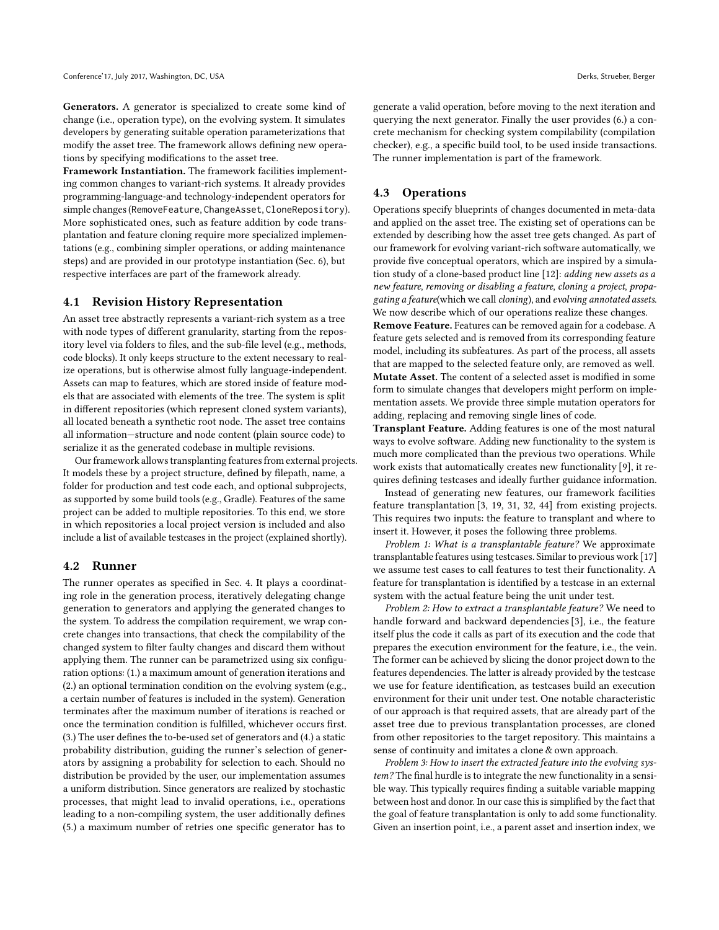Generators. A generator is specialized to create some kind of change (i.e., operation type), on the evolving system. It simulates developers by generating suitable operation parameterizations that modify the asset tree. The framework allows defining new operations by specifying modifications to the asset tree.

Framework Instantiation. The framework facilities implementing common changes to variant-rich systems. It already provides programming-language-and technology-independent operators for simple changes (RemoveFeature, ChangeAsset, CloneRepository). More sophisticated ones, such as feature addition by code transplantation and feature cloning require more specialized implementations (e.g., combining simpler operations, or adding maintenance steps) and are provided in our prototype instantiation (Sec. [6\)](#page-5-0), but respective interfaces are part of the framework already.

#### 4.1 Revision History Representation

An asset tree abstractly represents a variant-rich system as a tree with node types of different granularity, starting from the repository level via folders to files, and the sub-file level (e.g., methods, code blocks). It only keeps structure to the extent necessary to realize operations, but is otherwise almost fully language-independent. Assets can map to features, which are stored inside of feature models that are associated with elements of the tree. The system is split in different repositories (which represent cloned system variants), all located beneath a synthetic root node. The asset tree contains all information—structure and node content (plain source code) to serialize it as the generated codebase in multiple revisions.

Our framework allows transplanting features from external projects. It models these by a project structure, defined by filepath, name, a folder for production and test code each, and optional subprojects, as supported by some build tools (e.g., Gradle). Features of the same project can be added to multiple repositories. To this end, we store in which repositories a local project version is included and also include a list of available testcases in the project (explained shortly).

#### 4.2 Runner

The runner operates as specified in Sec. [4.](#page-2-1) It plays a coordinating role in the generation process, iteratively delegating change generation to generators and applying the generated changes to the system. To address the compilation requirement, we wrap concrete changes into transactions, that check the compilability of the changed system to filter faulty changes and discard them without applying them. The runner can be parametrized using six configuration options: (1.) a maximum amount of generation iterations and (2.) an optional termination condition on the evolving system (e.g., a certain number of features is included in the system). Generation terminates after the maximum number of iterations is reached or once the termination condition is fulfilled, whichever occurs first. (3.) The user defines the to-be-used set of generators and (4.) a static probability distribution, guiding the runner's selection of generators by assigning a probability for selection to each. Should no distribution be provided by the user, our implementation assumes a uniform distribution. Since generators are realized by stochastic processes, that might lead to invalid operations, i.e., operations leading to a non-compiling system, the user additionally defines (5.) a maximum number of retries one specific generator has to

generate a valid operation, before moving to the next iteration and querying the next generator. Finally the user provides (6.) a concrete mechanism for checking system compilability (compilation checker), e.g., a specific build tool, to be used inside transactions. The runner implementation is part of the framework.

## 4.3 Operations

Operations specify blueprints of changes documented in meta-data and applied on the asset tree. The existing set of operations can be extended by describing how the asset tree gets changed. As part of our framework for evolving variant-rich software automatically, we provide five conceptual operators, which are inspired by a simulation study of a clone-based product line [\[12\]](#page-8-7): adding new assets as a new feature, removing or disabling a feature, cloning a project, propagating a feature(which we call cloning), and evolving annotated assets. We now describe which of our operations realize these changes.

Remove Feature. Features can be removed again for a codebase. A feature gets selected and is removed from its corresponding feature model, including its subfeatures. As part of the process, all assets that are mapped to the selected feature only, are removed as well. Mutate Asset. The content of a selected asset is modified in some form to simulate changes that developers might perform on implementation assets. We provide three simple mutation operators for adding, replacing and removing single lines of code.

Transplant Feature. Adding features is one of the most natural ways to evolve software. Adding new functionality to the system is much more complicated than the previous two operations. While work exists that automatically creates new functionality [\[9\]](#page-8-39), it requires defining testcases and ideally further guidance information.

Instead of generating new features, our framework facilities feature transplantation [\[3,](#page-8-31) [19,](#page-8-33) [31,](#page-8-35) [32,](#page-8-32) [44\]](#page-8-34) from existing projects. This requires two inputs: the feature to transplant and where to insert it. However, it poses the following three problems.

Problem 1: What is a transplantable feature? We approximate transplantable features using testcases. Similar to previous work [\[17\]](#page-8-40) we assume test cases to call features to test their functionality. A feature for transplantation is identified by a testcase in an external system with the actual feature being the unit under test.

Problem 2: How to extract a transplantable feature? We need to handle forward and backward dependencies [\[3\]](#page-8-31), i.e., the feature itself plus the code it calls as part of its execution and the code that prepares the execution environment for the feature, i.e., the vein. The former can be achieved by slicing the donor project down to the features dependencies. The latter is already provided by the testcase we use for feature identification, as testcases build an execution environment for their unit under test. One notable characteristic of our approach is that required assets, that are already part of the asset tree due to previous transplantation processes, are cloned from other repositories to the target repository. This maintains a sense of continuity and imitates a clone & own approach.

Problem 3: How to insert the extracted feature into the evolving system? The final hurdle is to integrate the new functionality in a sensible way. This typically requires finding a suitable variable mapping between host and donor. In our case this is simplified by the fact that the goal of feature transplantation is only to add some functionality. Given an insertion point, i.e., a parent asset and insertion index, we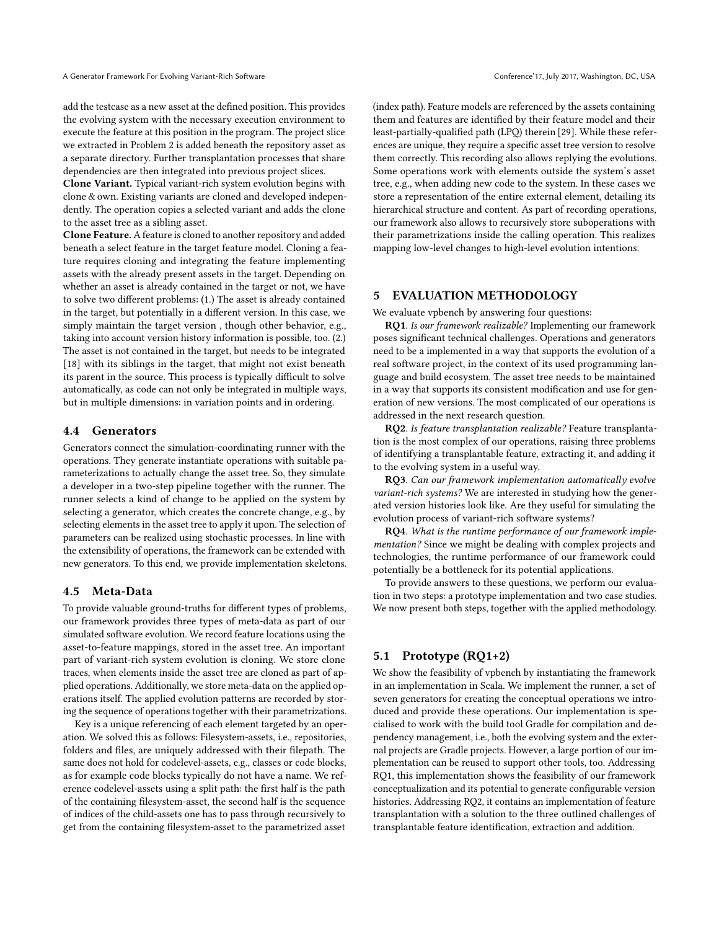add the testcase as a new asset at the defined position. This provides the evolving system with the necessary execution environment to execute the feature at this position in the program. The project slice we extracted in Problem 2 is added beneath the repository asset as a separate directory. Further transplantation processes that share dependencies are then integrated into previous project slices.

Clone Variant. Typical variant-rich system evolution begins with clone & own. Existing variants are cloned and developed independently. The operation copies a selected variant and adds the clone to the asset tree as a sibling asset.

Clone Feature. A feature is cloned to another repository and added beneath a select feature in the target feature model. Cloning a feature requires cloning and integrating the feature implementing assets with the already present assets in the target. Depending on whether an asset is already contained in the target or not, we have to solve two different problems: (1.) The asset is already contained in the target, but potentially in a different version. In this case, we simply maintain the target version , though other behavior, e.g., taking into account version history information is possible, too. (2.) The asset is not contained in the target, but needs to be integrated [\[18\]](#page-8-11) with its siblings in the target, that might not exist beneath its parent in the source. This process is typically difficult to solve automatically, as code can not only be integrated in multiple ways, but in multiple dimensions: in variation points and in ordering.

## 4.4 Generators

Generators connect the simulation-coordinating runner with the operations. They generate instantiate operations with suitable parameterizations to actually change the asset tree. So, they simulate a developer in a two-step pipeline together with the runner. The runner selects a kind of change to be applied on the system by selecting a generator, which creates the concrete change, e.g., by selecting elements in the asset tree to apply it upon. The selection of parameters can be realized using stochastic processes. In line with the extensibility of operations, the framework can be extended with new generators. To this end, we provide implementation skeletons.

#### 4.5 Meta-Data

To provide valuable ground-truths for different types of problems, our framework provides three types of meta-data as part of our simulated software evolution. We record feature locations using the asset-to-feature mappings, stored in the asset tree. An important part of variant-rich system evolution is cloning. We store clone traces, when elements inside the asset tree are cloned as part of applied operations. Additionally, we store meta-data on the applied operations itself. The applied evolution patterns are recorded by storing the sequence of operations together with their parametrizations.

Key is a unique referencing of each element targeted by an operation. We solved this as follows: Filesystem-assets, i.e., repositories, folders and files, are uniquely addressed with their filepath. The same does not hold for codelevel-assets, e.g., classes or code blocks, as for example code blocks typically do not have a name. We reference codelevel-assets using a split path: the first half is the path of the containing filesystem-asset, the second half is the sequence of indices of the child-assets one has to pass through recursively to get from the containing filesystem-asset to the parametrized asset

(index path). Feature models are referenced by the assets containing them and features are identified by their feature model and their least-partially-qualified path (LPQ) therein [\[29\]](#page-8-41). While these references are unique, they require a specific asset tree version to resolve them correctly. This recording also allows replying the evolutions. Some operations work with elements outside the system's asset tree, e.g., when adding new code to the system. In these cases we store a representation of the entire external element, detailing its hierarchical structure and content. As part of recording operations, our framework also allows to recursively store suboperations with their parametrizations inside the calling operation. This realizes mapping low-level changes to high-level evolution intentions.

#### 5 EVALUATION METHODOLOGY

We evaluate vpbench by answering four questions:

RQ1. Is our framework realizable? Implementing our framework poses significant technical challenges. Operations and generators need to be a implemented in a way that supports the evolution of a real software project, in the context of its used programming language and build ecosystem. The asset tree needs to be maintained in a way that supports its consistent modification and use for generation of new versions. The most complicated of our operations is addressed in the next research question.

RQ2. Is feature transplantation realizable? Feature transplantation is the most complex of our operations, raising three problems of identifying a transplantable feature, extracting it, and adding it to the evolving system in a useful way.

RQ3. Can our framework implementation automatically evolve variant-rich systems? We are interested in studying how the generated version histories look like. Are they useful for simulating the evolution process of variant-rich software systems?

RQ4. What is the runtime performance of our framework implementation? Since we might be dealing with complex projects and technologies, the runtime performance of our framework could potentially be a bottleneck for its potential applications.

To provide answers to these questions, we perform our evaluation in two steps: a prototype implementation and two case studies. We now present both steps, together with the applied methodology.

## 5.1 Prototype (RQ1+2)

We show the feasibility of vpbench by instantiating the framework in an implementation in Scala. We implement the runner, a set of seven generators for creating the conceptual operations we introduced and provide these operations. Our implementation is specialised to work with the build tool Gradle for compilation and dependency management, i.e., both the evolving system and the external projects are Gradle projects. However, a large portion of our implementation can be reused to support other tools, too. Addressing RQ1, this implementation shows the feasibility of our framework conceptualization and its potential to generate configurable version histories. Addressing RQ2, it contains an implementation of feature transplantation with a solution to the three outlined challenges of transplantable feature identification, extraction and addition.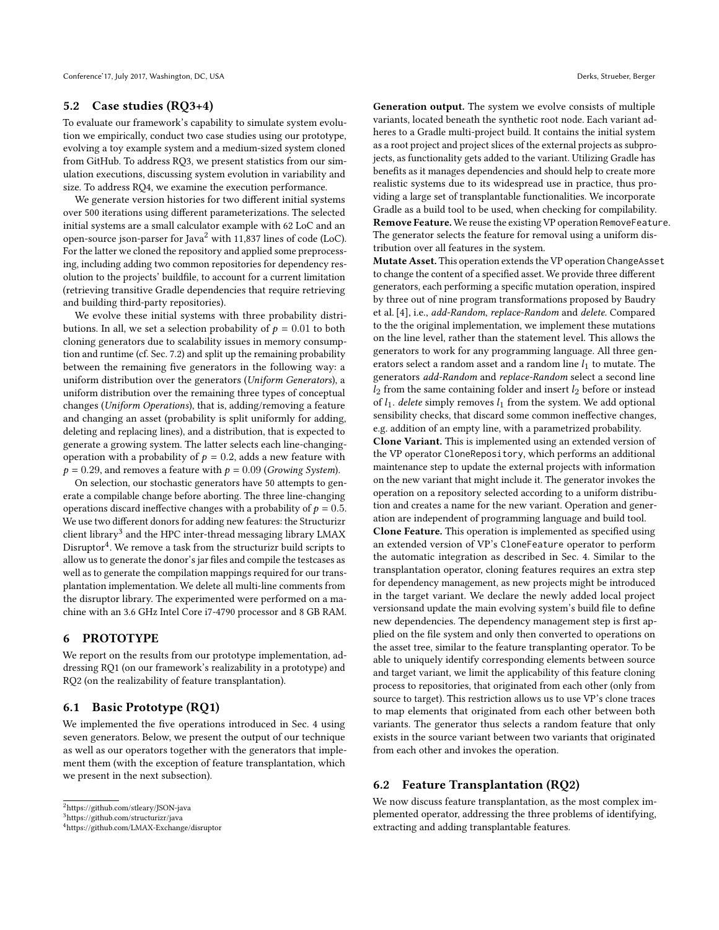## 5.2 Case studies (RQ3+4)

To evaluate our framework's capability to simulate system evolution we empirically, conduct two case studies using our prototype, evolving a toy example system and a medium-sized system cloned from GitHub. To address RQ3, we present statistics from our simulation executions, discussing system evolution in variability and size. To address RQ4, we examine the execution performance.

We generate version histories for two different initial systems over 500 iterations using different parameterizations. The selected initial systems are a small calculator example with 62 LoC and an open-source json-parser for Java<sup>[2](#page-5-1)</sup> with 11,837 lines of code (LoC). For the latter we cloned the repository and applied some preprocessing, including adding two common repositories for dependency resolution to the projects' buildfile, to account for a current limitation (retrieving transitive Gradle dependencies that require retrieving and building third-party repositories).

We evolve these initial systems with three probability distributions. In all, we set a selection probability of  $p = 0.01$  to both cloning generators due to scalability issues in memory consumption and runtime (cf. Sec. [7.2\)](#page-7-0) and split up the remaining probability between the remaining five generators in the following way: a uniform distribution over the generators (Uniform Generators), a uniform distribution over the remaining three types of conceptual changes (Uniform Operations), that is, adding/removing a feature and changing an asset (probability is split uniformly for adding, deleting and replacing lines), and a distribution, that is expected to generate a growing system. The latter selects each line-changingoperation with a probability of  $p = 0.2$ , adds a new feature with  $p = 0.29$ , and removes a feature with  $p = 0.09$  (Growing System).

On selection, our stochastic generators have 50 attempts to generate a compilable change before aborting. The three line-changing operations discard ineffective changes with a probability of  $p = 0.5$ . We use two different donors for adding new features: the Structurizr client library<sup>[3](#page-5-2)</sup> and the HPC inter-thread messaging library LMAX Disruptor $\rm ^4$  $\rm ^4$ . We remove a task from the structurizr build scripts to allow us to generate the donor's jar files and compile the testcases as well as to generate the compilation mappings required for our transplantation implementation. We delete all multi-line comments from the disruptor library. The experimented were performed on a machine with an 3.6 GHz Intel Core i7-4790 processor and 8 GB RAM.

## <span id="page-5-0"></span>6 PROTOTYPE

We report on the results from our prototype implementation, addressing RQ1 (on our framework's realizability in a prototype) and RQ2 (on the realizability of feature transplantation).

## 6.1 Basic Prototype (RQ1)

We implemented the five operations introduced in Sec. [4](#page-2-1) using seven generators. Below, we present the output of our technique as well as our operators together with the generators that implement them (with the exception of feature transplantation, which we present in the next subsection).

Generation output. The system we evolve consists of multiple variants, located beneath the synthetic root node. Each variant adheres to a Gradle multi-project build. It contains the initial system as a root project and project slices of the external projects as subprojects, as functionality gets added to the variant. Utilizing Gradle has benefits as it manages dependencies and should help to create more realistic systems due to its widespread use in practice, thus providing a large set of transplantable functionalities. We incorporate Gradle as a build tool to be used, when checking for compilability. Remove Feature. We reuse the existing VP operation RemoveFeature. The generator selects the feature for removal using a uniform distribution over all features in the system.

Mutate Asset. This operation extends the VP operation ChangeAsset to change the content of a specified asset. We provide three different generators, each performing a specific mutation operation, inspired by three out of nine program transformations proposed by Baudry et al. [\[4\]](#page-8-42), i.e., add-Random, replace-Random and delete. Compared to the the original implementation, we implement these mutations on the line level, rather than the statement level. This allows the generators to work for any programming language. All three generators select a random asset and a random line  $l_1$  to mutate. The generators add-Random and replace-Random select a second line  $l_2$  from the same containing folder and insert  $l_2$  before or instead of  $l_1$ . delete simply removes  $l_1$  from the system. We add optional sensibility checks, that discard some common ineffective changes, e.g. addition of an empty line, with a parametrized probability.

Clone Variant. This is implemented using an extended version of the VP operator CloneRepository, which performs an additional maintenance step to update the external projects with information on the new variant that might include it. The generator invokes the operation on a repository selected according to a uniform distribution and creates a name for the new variant. Operation and generation are independent of programming language and build tool.

Clone Feature. This operation is implemented as specified using an extended version of VP's CloneFeature operator to perform the automatic integration as described in Sec. [4.](#page-2-1) Similar to the transplantation operator, cloning features requires an extra step for dependency management, as new projects might be introduced in the target variant. We declare the newly added local project versionsand update the main evolving system's build file to define new dependencies. The dependency management step is first applied on the file system and only then converted to operations on the asset tree, similar to the feature transplanting operator. To be able to uniquely identify corresponding elements between source and target variant, we limit the applicability of this feature cloning process to repositories, that originated from each other (only from source to target). This restriction allows us to use VP's clone traces to map elements that originated from each other between both variants. The generator thus selects a random feature that only exists in the source variant between two variants that originated from each other and invokes the operation.

## 6.2 Feature Transplantation (RQ2)

We now discuss feature transplantation, as the most complex implemented operator, addressing the three problems of identifying, extracting and adding transplantable features.

<span id="page-5-1"></span> $^2$ https://github.com/stleary/JSON-java

<span id="page-5-2"></span><sup>3</sup>https://github.com/structurizr/java

<span id="page-5-3"></span><sup>4</sup>https://github.com/LMAX-Exchange/disruptor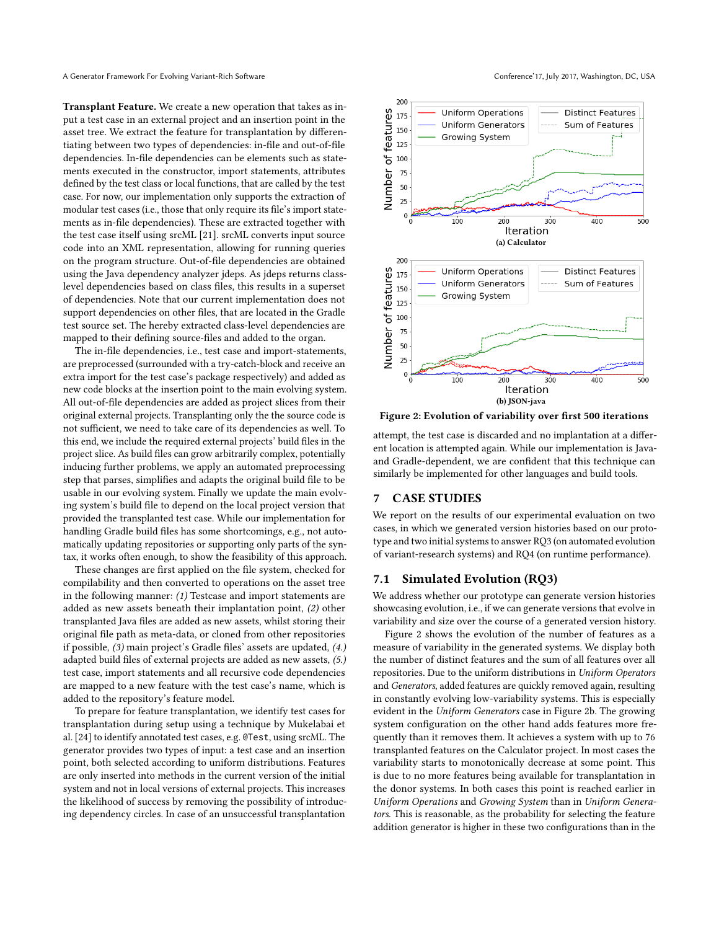Transplant Feature. We create a new operation that takes as input a test case in an external project and an insertion point in the asset tree. We extract the feature for transplantation by differentiating between two types of dependencies: in-file and out-of-file dependencies. In-file dependencies can be elements such as statements executed in the constructor, import statements, attributes defined by the test class or local functions, that are called by the test case. For now, our implementation only supports the extraction of modular test cases (i.e., those that only require its file's import statements as in-file dependencies). These are extracted together with the test case itself using srcML [\[21\]](#page-8-43). srcML converts input source code into an XML representation, allowing for running queries on the program structure. Out-of-file dependencies are obtained using the Java dependency analyzer jdeps. As jdeps returns classlevel dependencies based on class files, this results in a superset of dependencies. Note that our current implementation does not support dependencies on other files, that are located in the Gradle test source set. The hereby extracted class-level dependencies are mapped to their defining source-files and added to the organ.

The in-file dependencies, i.e., test case and import-statements, are preprocessed (surrounded with a try-catch-block and receive an extra import for the test case's package respectively) and added as new code blocks at the insertion point to the main evolving system. All out-of-file dependencies are added as project slices from their original external projects. Transplanting only the the source code is not sufficient, we need to take care of its dependencies as well. To this end, we include the required external projects' build files in the project slice. As build files can grow arbitrarily complex, potentially inducing further problems, we apply an automated preprocessing step that parses, simplifies and adapts the original build file to be usable in our evolving system. Finally we update the main evolving system's build file to depend on the local project version that provided the transplanted test case. While our implementation for handling Gradle build files has some shortcomings, e.g., not automatically updating repositories or supporting only parts of the syntax, it works often enough, to show the feasibility of this approach.

These changes are first applied on the file system, checked for compilability and then converted to operations on the asset tree in the following manner: (1) Testcase and import statements are added as new assets beneath their implantation point, (2) other transplanted Java files are added as new assets, whilst storing their original file path as meta-data, or cloned from other repositories if possible, (3) main project's Gradle files' assets are updated, (4.) adapted build files of external projects are added as new assets, (5.) test case, import statements and all recursive code dependencies are mapped to a new feature with the test case's name, which is added to the repository's feature model.

To prepare for feature transplantation, we identify test cases for transplantation during setup using a technique by Mukelabai et al. [\[24\]](#page-8-44) to identify annotated test cases, e.g. @Test, using srcML. The generator provides two types of input: a test case and an insertion point, both selected according to uniform distributions. Features are only inserted into methods in the current version of the initial system and not in local versions of external projects. This increases the likelihood of success by removing the possibility of introducing dependency circles. In case of an unsuccessful transplantation

<span id="page-6-0"></span>

<span id="page-6-1"></span>Figure 2: Evolution of variability over first 500 iterations

attempt, the test case is discarded and no implantation at a different location is attempted again. While our implementation is Javaand Gradle-dependent, we are confident that this technique can similarly be implemented for other languages and build tools.

#### 7 CASE STUDIES

We report on the results of our experimental evaluation on two cases, in which we generated version histories based on our prototype and two initial systems to answer RQ3 (on automated evolution of variant-research systems) and RQ4 (on runtime performance).

#### 7.1 Simulated Evolution (RQ3)

We address whether our prototype can generate version histories showcasing evolution, i.e., if we can generate versions that evolve in variability and size over the course of a generated version history.

Figure [2](#page-6-0) shows the evolution of the number of features as a measure of variability in the generated systems. We display both the number of distinct features and the sum of all features over all repositories. Due to the uniform distributions in Uniform Operators and Generators, added features are quickly removed again, resulting in constantly evolving low-variability systems. This is especially evident in the Uniform Generators case in Figure [2b.](#page-6-1) The growing system configuration on the other hand adds features more frequently than it removes them. It achieves a system with up to 76 transplanted features on the Calculator project. In most cases the variability starts to monotonically decrease at some point. This is due to no more features being available for transplantation in the donor systems. In both cases this point is reached earlier in Uniform Operations and Growing System than in Uniform Generators. This is reasonable, as the probability for selecting the feature addition generator is higher in these two configurations than in the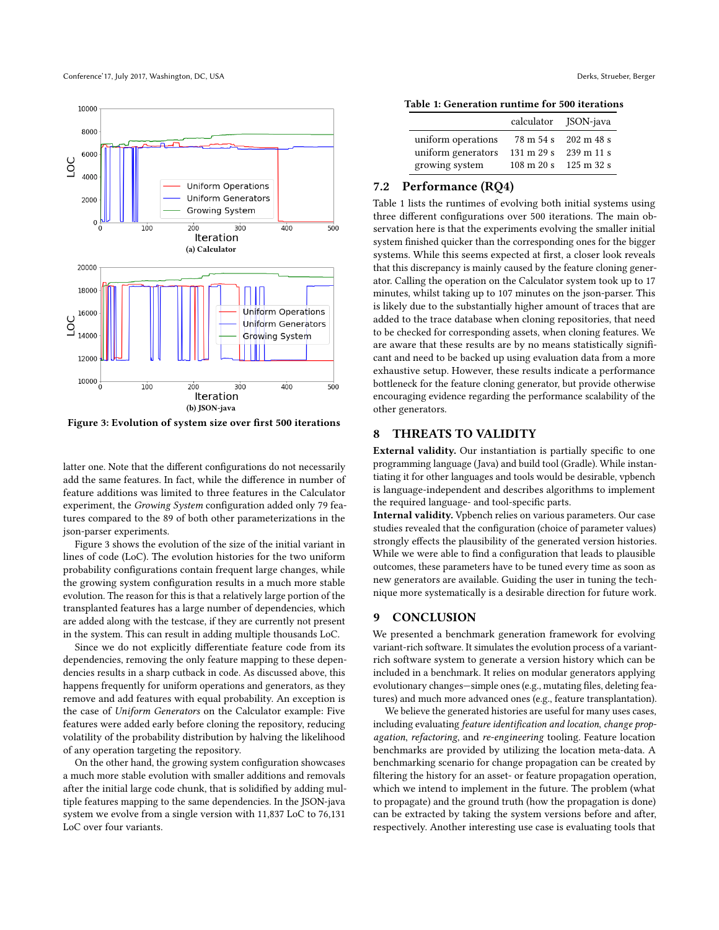<span id="page-7-1"></span>

Figure 3: Evolution of system size over first 500 iterations

latter one. Note that the different configurations do not necessarily add the same features. In fact, while the difference in number of feature additions was limited to three features in the Calculator experiment, the Growing System configuration added only 79 features compared to the 89 of both other parameterizations in the json-parser experiments.

Figure [3](#page-7-1) shows the evolution of the size of the initial variant in lines of code (LoC). The evolution histories for the two uniform probability configurations contain frequent large changes, while the growing system configuration results in a much more stable evolution. The reason for this is that a relatively large portion of the transplanted features has a large number of dependencies, which are added along with the testcase, if they are currently not present in the system. This can result in adding multiple thousands LoC.

Since we do not explicitly differentiate feature code from its dependencies, removing the only feature mapping to these dependencies results in a sharp cutback in code. As discussed above, this happens frequently for uniform operations and generators, as they remove and add features with equal probability. An exception is the case of Uniform Generators on the Calculator example: Five features were added early before cloning the repository, reducing volatility of the probability distribution by halving the likelihood of any operation targeting the repository.

On the other hand, the growing system configuration showcases a much more stable evolution with smaller additions and removals after the initial large code chunk, that is solidified by adding multiple features mapping to the same dependencies. In the JSON-java system we evolve from a single version with 11,837 LoC to 76,131 LoC over four variants.

<span id="page-7-2"></span>Table 1: Generation runtime for 500 iterations

|                    |                               | calculator JSON-java          |
|--------------------|-------------------------------|-------------------------------|
| uniform operations |                               | 78 m 54 s 202 m 48 s          |
| uniform generators | $131 \text{ m } 29 \text{ s}$ | $239 \text{ m} 11 \text{ s}$  |
| growing system     | $108 \text{ m } 20 \text{ s}$ | $125 \text{ m } 32 \text{ s}$ |

# <span id="page-7-0"></span>7.2 Performance (RQ4)

Table [1](#page-7-2) lists the runtimes of evolving both initial systems using three different configurations over 500 iterations. The main observation here is that the experiments evolving the smaller initial system finished quicker than the corresponding ones for the bigger systems. While this seems expected at first, a closer look reveals that this discrepancy is mainly caused by the feature cloning generator. Calling the operation on the Calculator system took up to 17 minutes, whilst taking up to 107 minutes on the json-parser. This is likely due to the substantially higher amount of traces that are added to the trace database when cloning repositories, that need to be checked for corresponding assets, when cloning features. We are aware that these results are by no means statistically significant and need to be backed up using evaluation data from a more exhaustive setup. However, these results indicate a performance bottleneck for the feature cloning generator, but provide otherwise encouraging evidence regarding the performance scalability of the other generators.

## 8 THREATS TO VALIDITY

External validity. Our instantiation is partially specific to one programming language (Java) and build tool (Gradle). While instantiating it for other languages and tools would be desirable, vpbench is language-independent and describes algorithms to implement the required language- and tool-specific parts.

Internal validity. Vpbench relies on various parameters. Our case studies revealed that the configuration (choice of parameter values) strongly effects the plausibility of the generated version histories. While we were able to find a configuration that leads to plausible outcomes, these parameters have to be tuned every time as soon as new generators are available. Guiding the user in tuning the technique more systematically is a desirable direction for future work.

#### 9 CONCLUSION

We presented a benchmark generation framework for evolving variant-rich software. It simulates the evolution process of a variantrich software system to generate a version history which can be included in a benchmark. It relies on modular generators applying evolutionary changes—simple ones (e.g., mutating files, deleting features) and much more advanced ones (e.g., feature transplantation).

We believe the generated histories are useful for many uses cases, including evaluating feature identification and location, change propagation, refactoring, and re-engineering tooling. Feature location benchmarks are provided by utilizing the location meta-data. A benchmarking scenario for change propagation can be created by filtering the history for an asset- or feature propagation operation, which we intend to implement in the future. The problem (what to propagate) and the ground truth (how the propagation is done) can be extracted by taking the system versions before and after, respectively. Another interesting use case is evaluating tools that